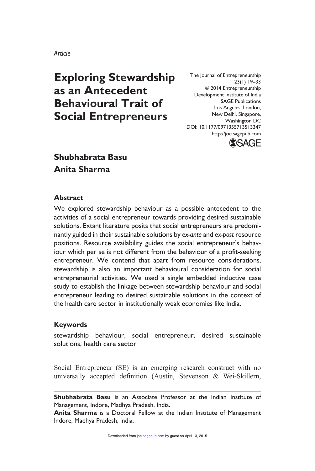# **Exploring Stewardship as an Antecedent Behavioural Trait of Social Entrepreneurs**

The Journal of Entrepreneurship 23(1) 19–33 © 2014 Entrepreneurship Development Institute of India SAGE Publications Los Angeles, London, New Delhi, Singapore, Washington DC DOI: 10.1177/0971355713513347 http://joe.sagepub.com



# **Shubhabrata Basu Anita Sharma**

#### **Abstract**

We explored stewardship behaviour as a possible antecedent to the activities of a social entrepreneur towards providing desired sustainable solutions. Extant literature posits that social entrepreneurs are predominantly guided in their sustainable solutions by *ex-ante* and *ex-post* resource positions. Resource availability guides the social entrepreneur's behaviour which per se is not different from the behaviour of a profit-seeking entrepreneur. We contend that apart from resource considerations, stewardship is also an important behavioural consideration for social entrepreneurial activities. We used a single embedded inductive case study to establish the linkage between stewardship behaviour and social entrepreneur leading to desired sustainable solutions in the context of the health care sector in institutionally weak economies like India.

#### **Keywords**

stewardship behaviour, social entrepreneur, desired sustainable solutions, health care sector

Social Entrepreneur (SE) is an emerging research construct with no universally accepted definition (Austin, Stevenson & Wei-Skillern,

**Shubhabrata Basu** is an Associate Professor at the Indian Institute of Management, Indore, Madhya Pradesh, India.

**Anita Sharma** is a Doctoral Fellow at the Indian Institute of Management Indore, Madhya Pradesh, India.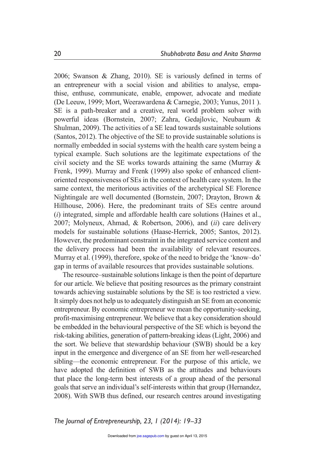2006; Swanson & Zhang, 2010). SE is variously defined in terms of an entrepreneur with a social vision and abilities to analyse, empathise, enthuse, communicate, enable, empower, advocate and mediate (De Leeuw, 1999; Mort, Weerawardena & Carnegie, 2003; Yunus, 2011 ). SE is a path-breaker and a creative, real world problem solver with powerful ideas (Bornstein, 2007; Zahra, Gedajlovic, Neubaum & Shulman, 2009). The activities of a SE lead towards sustainable solutions (Santos, 2012). The objective of the SE to provide sustainable solutions is normally embedded in social systems with the health care system being a typical example. Such solutions are the legitimate expectations of the civil society and the SE works towards attaining the same (Murray  $\&$ Frenk, 1999). Murray and Frenk (1999) also spoke of enhanced clientoriented responsiveness of SEs in the context of health care system. In the same context, the meritorious activities of the archetypical SE Florence Nightingale are well documented (Bornstein, 2007; Drayton, Brown & Hillhouse, 2006). Here, the predominant traits of SEs centre around (*i*) integrated, simple and affordable health care solutions (Haines et al., 2007; Molyneux, Ahmad, & Robertson, 2006), and (*ii*) care delivery models for sustainable solutions (Haase-Herrick, 2005; Santos, 2012). However, the predominant constraint in the integrated service content and the delivery process had been the availability of relevant resources. Murray et al. (1999), therefore, spoke of the need to bridge the 'know–do' gap in terms of available resources that provides sustainable solutions.

The resource–sustainable solutions linkage is then the point of departure for our article. We believe that positing resources as the primary constraint towards achieving sustainable solutions by the SE is too restricted a view. It simply does not help us to adequately distinguish an SE from an economic entrepreneur. By economic entrepreneur we mean the opportunity-seeking, profit-maximising entrepreneur. We believe that a key consideration should be embedded in the behavioural perspective of the SE which is beyond the risk-taking abilities, generation of pattern-breaking ideas (Light, 2006) and the sort. We believe that stewardship behaviour (SWB) should be a key input in the emergence and divergence of an SE from her well-researched sibling—the economic entrepreneur. For the purpose of this article, we have adopted the definition of SWB as the attitudes and behaviours that place the long-term best interests of a group ahead of the personal goals that serve an individual's self-interests within that group (Hernandez, 2008). With SWB thus defined, our research centres around investigating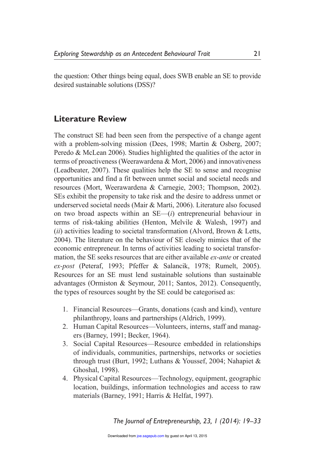the question: Other things being equal, does SWB enable an SE to provide desired sustainable solutions (DSS)?

### **Literature Review**

The construct SE had been seen from the perspective of a change agent with a problem-solving mission (Dees, 1998; Martin & Osberg, 2007; Peredo & McLean 2006). Studies highlighted the qualities of the actor in terms of proactiveness (Weerawardena & Mort, 2006) and innovativeness (Leadbeater, 2007). These qualities help the SE to sense and recognise opportunities and find a fit between unmet social and societal needs and resources (Mort, Weerawardena & Carnegie, 2003; Thompson, 2002). SEs exhibit the propensity to take risk and the desire to address unmet or underserved societal needs (Mair & Marti, 2006). Literature also focused on two broad aspects within an SE—(*i*) entrepreneurial behaviour in terms of risk-taking abilities (Henton, Melvile & Walesh, 1997) and (*ii*) activities leading to societal transformation (Alvord, Brown & Letts, 2004). The literature on the behaviour of SE closely mimics that of the economic entrepreneur. In terms of activities leading to societal transformation, the SE seeks resources that are either available *ex-ante* or created *ex-post* (Peteraf, 1993; Pfeffer & Salancik, 1978; Rumelt, 2005). Resources for an SE must lend sustainable solutions than sustainable advantages (Ormiston & Seymour, 2011; Santos, 2012). Consequently, the types of resources sought by the SE could be categorised as:

- 1. Financial Resources—Grants, donations (cash and kind), venture philanthropy, loans and partnerships (Aldrich, 1999).
- 2. Human Capital Resources—Volunteers, interns, staff and managers (Barney, 1991; Becker, 1964).
- 3. Social Capital Resources—Resource embedded in relationships of individuals, communities, partnerships, networks or societies through trust (Burt, 1992; Luthans & Youssef, 2004; Nahapiet & Ghoshal, 1998).
- 4. Physical Capital Resources—Technology, equipment, geographic location, buildings, information technologies and access to raw materials (Barney, 1991; Harris & Helfat, 1997).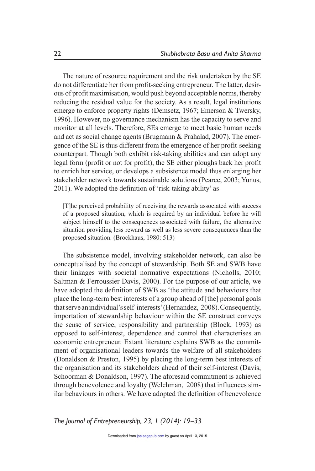The nature of resource requirement and the risk undertaken by the SE do not differentiate her from profit-seeking entrepreneur. The latter, desirous of profit maximisation, would push beyond acceptable norms, thereby reducing the residual value for the society. As a result, legal institutions emerge to enforce property rights (Demsetz, 1967; Emerson & Twersky, 1996). However, no governance mechanism has the capacity to serve and monitor at all levels. Therefore, SEs emerge to meet basic human needs and act as social change agents (Brugmann & Prahalad, 2007). The emergence of the SE is thus different from the emergence of her profit-seeking counterpart. Though both exhibit risk-taking abilities and can adopt any legal form (profit or not for profit), the SE either ploughs back her profit to enrich her service, or develops a subsistence model thus enlarging her stakeholder network towards sustainable solutions (Pearce, 2003; Yunus, 2011). We adopted the definition of 'risk-taking ability' as

[T]he perceived probability of receiving the rewards associated with success of a proposed situation, which is required by an individual before he will subject himself to the consequences associated with failure, the alternative situation providing less reward as well as less severe consequences than the proposed situation. (Brockhaus, 1980: 513)

The subsistence model, involving stakeholder network, can also be conceptualised by the concept of stewardship. Both SE and SWB have their linkages with societal normative expectations (Nicholls, 2010; Saltman & Ferroussier-Davis, 2000). For the purpose of our article, we have adopted the definition of SWB as 'the attitude and behaviours that place the long-term best interests of a group ahead of [the] personal goals that serve an individual's self-interests' (Hernandez, 2008). Consequently, importation of stewardship behaviour within the SE construct conveys the sense of service, responsibility and partnership (Block, 1993) as opposed to self-interest, dependence and control that characterises an economic entrepreneur. Extant literature explains SWB as the commitment of organisational leaders towards the welfare of all stakeholders (Donaldson & Preston, 1995) by placing the long-term best interests of the organisation and its stakeholders ahead of their self-interest (Davis, Schoorman & Donaldson, 1997). The aforesaid commitment is achieved through benevolence and loyalty (Welchman, 2008) that influences similar behaviours in others. We have adopted the definition of benevolence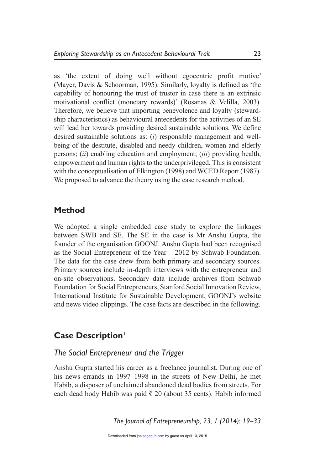as 'the extent of doing well without egocentric profit motive' (Mayer, Davis & Schoorman, 1995). Similarly, loyalty is defined as 'the capability of honouring the trust of trustor in case there is an extrinsic motivational conflict (monetary rewards)' (Rosanas & Velilla, 2003). Therefore, we believe that importing benevolence and loyalty (stewardship characteristics) as behavioural antecedents for the activities of an SE will lead her towards providing desired sustainable solutions. We define desired sustainable solutions as: (*i*) responsible management and wellbeing of the destitute, disabled and needy children, women and elderly persons; (*ii*) enabling education and employment; (*iii*) providing health, empowerment and human rights to the underprivileged. This is consistent with the conceptualisation of Elkington (1998) and WCED Report (1987). We proposed to advance the theory using the case research method.

### **Method**

We adopted a single embedded case study to explore the linkages between SWB and SE. The SE in the case is Mr Anshu Gupta, the founder of the organisation GOONJ. Anshu Gupta had been recognised as the Social Entrepreneur of the Year – 2012 by Schwab Foundation. The data for the case drew from both primary and secondary sources. Primary sources include in-depth interviews with the entrepreneur and on-site observations. Secondary data include archives from Schwab Foundation for Social Entrepreneurs, Stanford Social Innovation Review, International Institute for Sustainable Development, GOONJ's website and news video clippings. The case facts are described in the following.

### **Case Description<sup>1</sup>**

### *The Social Entrepreneur and the Trigger*

Anshu Gupta started his career as a freelance journalist. During one of his news errands in 1997–1998 in the streets of New Delhi, he met Habib, a disposer of unclaimed abandoned dead bodies from streets. For each dead body Habib was paid  $\bar{\bar{\xi}}$  20 (about 35 cents). Habib informed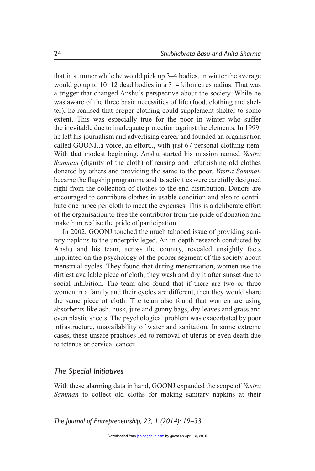that in summer while he would pick up 3–4 bodies, in winter the average would go up to 10–12 dead bodies in a 3–4 kilometres radius. That was a trigger that changed Anshu's perspective about the society. While he was aware of the three basic necessities of life (food, clothing and shelter), he realised that proper clothing could supplement shelter to some extent. This was especially true for the poor in winter who suffer the inevitable due to inadequate protection against the elements. In 1999, he left his journalism and advertising career and founded an organisation called GOONJ..a voice, an effort*..*, with just 67 personal clothing item. With that modest beginning, Anshu started his mission named *Vastra Samman* (dignity of the cloth) of reusing and refurbishing old clothes donated by others and providing the same to the poor. *Vastra Samman* became the flagship programme and its activities were carefully designed right from the collection of clothes to the end distribution. Donors are encouraged to contribute clothes in usable condition and also to contribute one rupee per cloth to meet the expenses. This is a deliberate effort of the organisation to free the contributor from the pride of donation and make him realise the pride of participation.

In 2002, GOONJ touched the much tabooed issue of providing sanitary napkins to the underprivileged. An in-depth research conducted by Anshu and his team, across the country, revealed unsightly facts imprinted on the psychology of the poorer segment of the society about menstrual cycles. They found that during menstruation, women use the dirtiest available piece of cloth; they wash and dry it after sunset due to social inhibition. The team also found that if there are two or three women in a family and their cycles are different, then they would share the same piece of cloth. The team also found that women are using absorbents like ash, husk, jute and gunny bags, dry leaves and grass and even plastic sheets. The psychological problem was exacerbated by poor infrastructure, unavailability of water and sanitation. In some extreme cases, these unsafe practices led to removal of uterus or even death due to tetanus or cervical cancer.

#### *The Special Initiatives*

With these alarming data in hand, GOONJ expanded the scope of *Vastra Samman* to collect old cloths for making sanitary napkins at their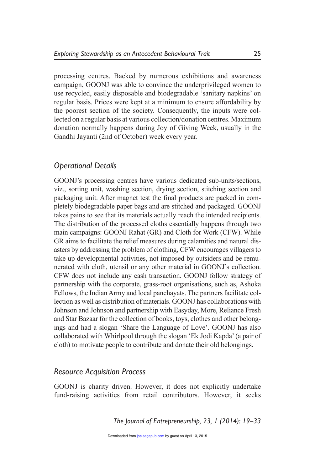processing centres. Backed by numerous exhibitions and awareness campaign, GOONJ was able to convince the underprivileged women to use recycled, easily disposable and biodegradable 'sanitary napkins' on regular basis. Prices were kept at a minimum to ensure affordability by the poorest section of the society. Consequently, the inputs were collected on a regular basis at various collection/donation centres. Maximum donation normally happens during Joy of Giving Week, usually in the Gandhi Jayanti (2nd of October) week every year.

### *Operational Details*

GOONJ's processing centres have various dedicated sub-units/sections, viz., sorting unit, washing section, drying section, stitching section and packaging unit. After magnet test the final products are packed in completely biodegradable paper bags and are stitched and packaged. GOONJ takes pains to see that its materials actually reach the intended recipients. The distribution of the processed cloths essentially happens through two main campaigns: GOONJ Rahat (GR) and Cloth for Work (CFW). While GR aims to facilitate the relief measures during calamities and natural disasters by addressing the problem of clothing, CFW encourages villagers to take up developmental activities, not imposed by outsiders and be remunerated with cloth, utensil or any other material in GOONJ's collection. CFW does not include any cash transaction. GOONJ follow strategy of partnership with the corporate, grass-root organisations, such as, Ashoka Fellows, the Indian Army and local panchayats. The partners facilitate collection as well as distribution of materials. GOONJ has collaborations with Johnson and Johnson and partnership with Easyday, More, Reliance Fresh and Star Bazaar for the collection of books, toys, clothes and other belongings and had a slogan 'Share the Language of Love'. GOONJ has also collaborated with Whirlpool through the slogan 'Ek Jodi Kapda' (a pair of cloth) to motivate people to contribute and donate their old belongings.

### *Resource Acquisition Process*

GOONJ is charity driven. However, it does not explicitly undertake fund-raising activities from retail contributors. However, it seeks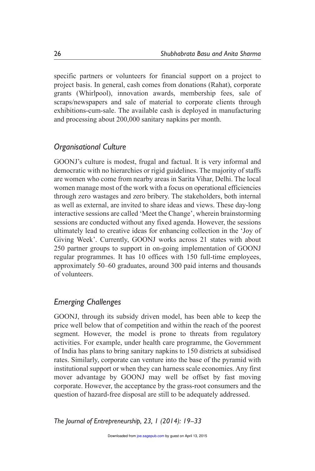specific partners or volunteers for financial support on a project to project basis. In general, cash comes from donations (Rahat), corporate grants (Whirlpool), innovation awards, membership fees, sale of scraps/newspapers and sale of material to corporate clients through exhibitions-cum-sale. The available cash is deployed in manufacturing and processing about 200,000 sanitary napkins per month.

### *Organisational Culture*

GOONJ's culture is modest, frugal and factual. It is very informal and democratic with no hierarchies or rigid guidelines. The majority of staffs are women who come from nearby areas in Sarita Vihar, Delhi. The local women manage most of the work with a focus on operational efficiencies through zero wastages and zero bribery. The stakeholders, both internal as well as external, are invited to share ideas and views. These day-long interactive sessions are called 'Meet the Change', wherein brainstorming sessions are conducted without any fixed agenda. However, the sessions ultimately lead to creative ideas for enhancing collection in the 'Joy of Giving Week'. Currently, GOONJ works across 21 states with about 250 partner groups to support in on-going implementation of GOONJ regular programmes. It has 10 offices with 150 full-time employees, approximately 50–60 graduates, around 300 paid interns and thousands of volunteers.

### *Emerging Challenges*

GOONJ, through its subsidy driven model, has been able to keep the price well below that of competition and within the reach of the poorest segment. However, the model is prone to threats from regulatory activities. For example, under health care programme, the Government of India has plans to bring sanitary napkins to 150 districts at subsidised rates. Similarly, corporate can venture into the base of the pyramid with institutional support or when they can harness scale economies. Any first mover advantage by GOONJ may well be offset by fast moving corporate. However, the acceptance by the grass-root consumers and the question of hazard-free disposal are still to be adequately addressed.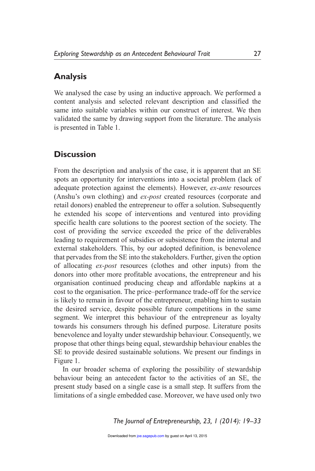# **Analysis**

We analysed the case by using an inductive approach. We performed a content analysis and selected relevant description and classified the same into suitable variables within our construct of interest. We then validated the same by drawing support from the literature. The analysis is presented in Table 1.

## **Discussion**

From the description and analysis of the case, it is apparent that an SE spots an opportunity for interventions into a societal problem (lack of adequate protection against the elements). However, *ex-ante* resources (Anshu's own clothing) and *ex-post* created resources (corporate and retail donors) enabled the entrepreneur to offer a solution. Subsequently he extended his scope of interventions and ventured into providing specific health care solutions to the poorest section of the society. The cost of providing the service exceeded the price of the deliverables leading to requirement of subsidies or subsistence from the internal and external stakeholders. This, by our adopted definition, is benevolence that pervades from the SE into the stakeholders. Further, given the option of allocating *ex-post* resources (clothes and other inputs) from the donors into other more profitable avocations, the entrepreneur and his organisation continued producing cheap and affordable napkins at a cost to the organisation. The price–performance trade-off for the service is likely to remain in favour of the entrepreneur, enabling him to sustain the desired service, despite possible future competitions in the same segment. We interpret this behaviour of the entrepreneur as loyalty towards his consumers through his defined purpose. Literature posits benevolence and loyalty under stewardship behaviour. Consequently, we propose that other things being equal, stewardship behaviour enables the SE to provide desired sustainable solutions. We present our findings in Figure 1.

In our broader schema of exploring the possibility of stewardship behaviour being an antecedent factor to the activities of an SE, the present study based on a single case is a small step. It suffers from the limitations of a single embedded case. Moreover, we have used only two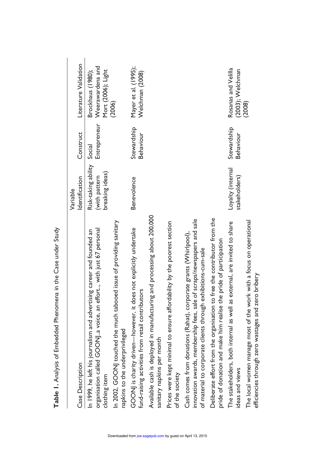| <b>Case Description</b>                                                                                                                                                                                     | Identification<br>Variable                                     | Construct                       | Literature Validation                                       |
|-------------------------------------------------------------------------------------------------------------------------------------------------------------------------------------------------------------|----------------------------------------------------------------|---------------------------------|-------------------------------------------------------------|
|                                                                                                                                                                                                             |                                                                |                                 |                                                             |
| organisation called GOONJa voice, an effort, with just 67 personal<br>In 1999, he left his journalism and advertising career and founded an<br>clothing item                                                | Risk-taking ability Social<br>breaking ideas)<br>(with pattern | Entrepreneur                    | Weerawardena and<br>Mort (2006); Light<br>Brockhaus (1980); |
| In 2002, GOON touched the much tabooed issue of providing sanitary<br>napkins to the underprivileged                                                                                                        |                                                                |                                 | (2006)                                                      |
| GOON  is charity driven-however, it does not explicitly undertake<br>fund-raising activities from retail contributors                                                                                       | <b>Benevolence</b>                                             | Stewardship<br>Behaviour        | Mayer et al. (1995);<br>Welchman (2008)                     |
| Available cash is deployed in manufacturing and processing about 200,000<br>sanitary napkins per month                                                                                                      |                                                                |                                 |                                                             |
| Prices were kept minimal to ensure affordability by the poorest section<br>of the society                                                                                                                   |                                                                |                                 |                                                             |
| innovation awards, membership fees, sale of scraps/newspapers and sale<br>Cash comes from donations (Rahat), corporate grants (Whirlpool),<br>of material to corporate clients through exhibitions-cum-sale |                                                                |                                 |                                                             |
| Deliberate effort from the organisation to free the contributor from the<br>pride of donation and make him realise the pride of participation                                                               |                                                                |                                 |                                                             |
| The stakeholders, both internal as well as external, are invited to share<br>ideas and views                                                                                                                | Loyalty (internal<br>stakeholders)                             | Stewardship<br><b>Behaviour</b> | Rosanas and Velilla<br>(2003); Welchman                     |
| The local women manage most of the work with a focus on operational<br>efficiencies through zero wastages and zero bribery                                                                                  |                                                                |                                 | (2008)                                                      |

Table 1. Analysis of Embedded Phenomena in the Case under Study **Table 1.** Analysis of Embedded Phenomena in the Case under Study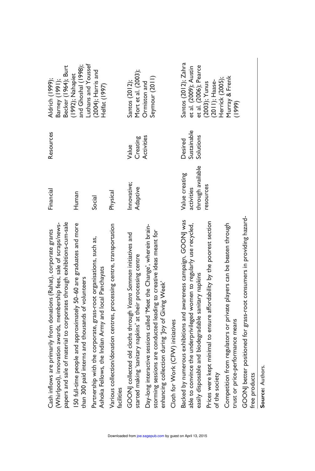| papers and sale of material to corporates through exhibitions-cum-sale<br>(Whirlpool), innovation awards, membership fees, sale of scraps/news-<br>Cash inflows are primarily from donations (Rahat), corporate grants | Financial                                         | Resources                           | Becker (1964); Burt<br>Aldrich (1999);<br>Barney (1991);               |
|------------------------------------------------------------------------------------------------------------------------------------------------------------------------------------------------------------------------|---------------------------------------------------|-------------------------------------|------------------------------------------------------------------------|
| 150 full-time people and approximately 50-60 are graduates and more<br>than 300 paid interns and thousands of volunteers                                                                                               | Human                                             |                                     | Luthans and Youssef<br>and Ghoshal (1998);<br>1992); Nahapiet          |
| Partnership with the corporate, grass-root organisations, such as,<br>Ashoka Fellows, the Indian Army and local Panchayats                                                                                             | Social                                            |                                     | (2004); Harris and<br>Helfat (1997)                                    |
| Various collection/donation centres, processing centre, transportation<br>facilities                                                                                                                                   | Physical                                          |                                     |                                                                        |
| GOON] collected old cloths through Vastra Samman initiatives and<br>started making 'sanitary napkins' at their processing centre                                                                                       | Innovative;<br>Adaptive                           | Creating<br>Value                   | Mort et al. (2003);<br>Santos (2012);                                  |
| Day-long interactive sessions called 'Meet the Change', wherein brain-<br>storming sessions are conducted leading to creative ideas meant for<br>enhancing collection during 'Joy of Giving Week'                      |                                                   | Activities                          | Seymour (2011)<br>Ormiston and                                         |
| Cloth for Work (CFW) initiatives                                                                                                                                                                                       |                                                   |                                     |                                                                        |
| Backed by numerous exhibitions and awareness campaign, GOONJ was<br>able to convince the underprivileged women to regularly use recycled,<br>easily disposable and biodegradable sanitary napkins                      | through available<br>Value creating<br>activities | Sustainable<br>Solutions<br>Desired | Santos (2012); Zahra<br>et al. (2006); Pearce<br>et al. (2009); Austin |
| Prices were kept minimal to ensure affordability by the poorest section<br>of the society                                                                                                                              | resources                                         |                                     | Herrick (2005);<br>(2011); Haase-<br>(2003); Yunus                     |
| Competition from regulators or private players can be beaten through<br>trust or price-performance means                                                                                                               |                                                   |                                     | Murray & Frenk<br>(1999)                                               |
| GOON] better positioned for grass-root consumers in providing hazard-<br>free products                                                                                                                                 |                                                   |                                     |                                                                        |
| Source: Authors.                                                                                                                                                                                                       |                                                   |                                     |                                                                        |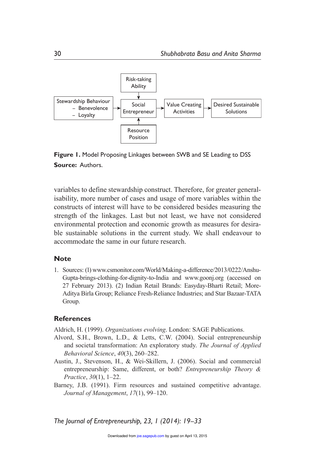



variables to define stewardship construct. Therefore, for greater generalisability, more number of cases and usage of more variables within the constructs of interest will have to be considered besides measuring the strength of the linkages. Last but not least, we have not considered environmental protection and economic growth as measures for desirable sustainable solutions in the current study. We shall endeavour to accommodate the same in our future research.

#### **Note**

1. Sources: (1) www.csmonitor.com/World/Making-a-difference/2013/0222/Anshu-Gupta-brings-clothing-for-dignity-to-India and www.goonj.org (accessed on 27 February 2013). (2) Indian Retail Brands: Easyday-Bharti Retail; More-Aditya Birla Group; Reliance Fresh-Reliance Industries; and Star Bazaar-TATA Group.

#### **References**

Aldrich, H. (1999). *Organizations evolving*. London: SAGE Publications.

- Alvord, S.H., Brown, L.D., & Letts, C.W. (2004). Social entrepreneurship and societal transformation: An exploratory study. *The Journal of Applied Behavioral Science*, *40*(3), 260–282.
- Austin, J., Stevenson, H., & Wei-Skillern, J. (2006). Social and commercial entrepreneurship: Same, different, or both? *Entrepreneurship Theory & Practice*, *30*(1), 1–22.
- Barney, J.B. (1991). Firm resources and sustained competitive advantage. *Journal of Management*, *17*(1), 99–120.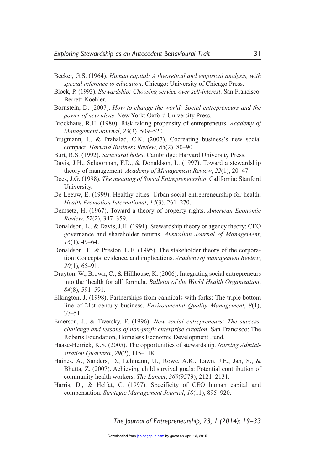- Becker, G.S. (1964). *Human capital: A theoretical and empirical analysis, with special reference to education*. Chicago: University of Chicago Press.
- Block, P. (1993). *Stewardship: Choosing service over self-interest*. San Francisco: Berrett-Koehler.
- Bornstein, D. (2007). *How to change the world: Social entrepreneurs and the power of new ideas*. New York: Oxford University Press.
- Brockhaus, R.H. (1980). Risk taking propensity of entrepreneurs. *Academy of Management Journal*, *23*(3), 509–520.
- Brugmann, J., & Prahalad, C.K. (2007). Cocreating business's new social compact. *Harvard Business Review*, *85*(2), 80–90.
- Burt, R.S. (1992). *Structural holes*. Cambridge: Harvard University Press.
- Davis, J.H., Schoorman, F.D., & Donaldson, L. (1997). Toward a stewardship theory of management. *Academy of Management Review*, *22*(1), 20–47.
- Dees, J.G. (1998). *The meaning of Social Entrepreneurship*. California: Stanford University.
- De Leeuw, E. (1999). Healthy cities: Urban social entrepreneurship for health. *Health Promotion International*, *14*(3), 261–270.
- Demsetz, H. (1967). Toward a theory of property rights. *American Economic Review*, *57*(2), 347–359.
- Donaldson, L., & Davis, J.H. (1991). Stewardship theory or agency theory: CEO governance and shareholder returns. *Australian Journal of Management*, *16*(1), 49–64.
- Donaldson, T., & Preston, L.E. (1995). The stakeholder theory of the corporation: Concepts, evidence, and implications. *Academy of management Review*, *20*(1), 65–91.
- Drayton, W., Brown, C., & Hillhouse, K. (2006). Integrating social entrepreneurs into the 'health for all' formula. *Bulletin of the World Health Organization*, *84*(8), 591–591.
- Elkington, J. (1998). Partnerships from cannibals with forks: The triple bottom line of 21st century business. *Environmental Quality Management*, *8*(1), 37–51.
- Emerson, J., & Twersky, F. (1996). *New social entrepreneurs: The success, challenge and lessons of non-profit enterprise creation*. San Francisco: The Roberts Foundation, Homeless Economic Development Fund.
- Haase-Herrick, K.S. (2005). The opportunities of stewardship. *Nursing Administration Quarterly*, *29*(2), 115–118.
- Haines, A., Sanders, D., Lehmann, U., Rowe, A.K., Lawn, J.E., Jan, S., & Bhutta, Z. (2007). Achieving child survival goals: Potential contribution of community health workers. *The Lancet*, *369*(9579), 2121–2131.
- Harris, D., & Helfat, C. (1997). Specificity of CEO human capital and compensation. *Strategic Management Journal*, *18*(11), 895–920.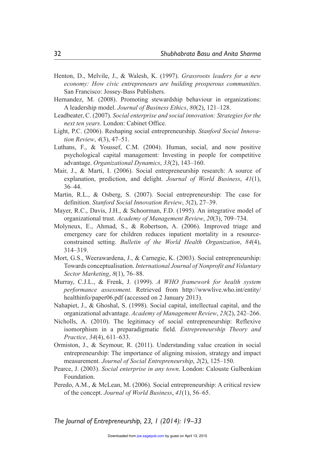- Henton, D., Melvile, J., & Walesh, K. (1997). *Grassroots leaders for a new economy: How civic entrepreneurs are building prosperous communities*. San Francisco: Jossey-Bass Publishers.
- Hernandez, M. (2008). Promoting stewardship behaviour in organizations: A leadership model. *Journal of Business Ethics*, *80*(2), 121–128.
- Leadbeater, C. (2007). *Social enterprise and social innovation: Strategies for the next ten years*. London: Cabinet Office.
- Light, P.C. (2006). Reshaping social entrepreneurship. *Stanford Social Innovation Review*, *4*(3), 47–51.
- Luthans, F., & Youssef, C.M. (2004). Human, social, and now positive psychological capital management: Investing in people for competitive advantage. *Organizational Dynamics*, *33*(2), 143–160.
- Mair, J., & Marti, I. (2006). Social entrepreneurship research: A source of explanation, prediction, and delight. *Journal of World Business*, *41*(1), 36–44.
- Martin, R.L., & Osberg, S. (2007). Social entrepreneurship: The case for definition. *Stanford Social Innovation Review*, *5*(2), 27–39.
- Mayer, R.C., Davis, J.H., & Schoorman, F.D. (1995). An integrative model of organizational trust. *Academy of Management Review*, *20*(3), 709–734.
- Molyneux, E., Ahmad, S., & Robertson, A. (2006). Improved triage and emergency care for children reduces inpatient mortality in a resourceconstrained setting. *Bulletin of the World Health Organization*, *84*(4), 314–319.
- Mort, G.S., Weerawardena, J., & Carnegie, K. (2003). Social entrepreneurship: Towards conceptualisation. *International Journal of Nonprofit and Voluntary Sector Marketing*, *8*(1), 76–88.
- Murray, C.J.L., & Frenk, J. (1999). *A WHO framework for health system performance assessment*. Retrieved from http://wwwlive.who.int/entity/ healthinfo/paper06.pdf (accessed on 2 January 2013).
- Nahapiet, J., & Ghoshal, S. (1998). Social capital, intellectual capital, and the organizational advantage. *Academy of Management Review*, *23*(2), 242–266.
- Nicholls, A. (2010). The legitimacy of social entrepreneurship: Reflexive isomorphism in a preparadigmatic field. *Entrepreneurship Theory and Practice*, *34*(4), 611–633.
- Ormiston, J., & Seymour, R. (2011). Understanding value creation in social entrepreneurship: The importance of aligning mission, strategy and impact measurement. *Journal of Social Entrepreneurship*, *2*(2), 125–150.
- Pearce, J. (2003). *Social enterprise in any town*. London: Calouste Gulbenkian Foundation.
- Peredo, A.M., & McLean, M. (2006). Social entrepreneurship: A critical review of the concept. *Journal of World Business*, *41*(1), 56–65.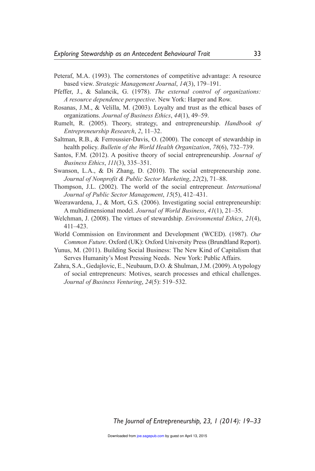- Peteraf, M.A. (1993). The cornerstones of competitive advantage: A resource based view. *Strategic Management Journal*, *14*(3), 179–191.
- Pfeffer, J., & Salancik, G. (1978). *The external control of organizations: A resource dependence perspective*. New York: Harper and Row.
- Rosanas, J.M., & Velilla, M. (2003). Loyalty and trust as the ethical bases of organizations. *Journal of Business Ethics*, *44*(1), 49–59.
- Rumelt, R. (2005). Theory, strategy, and entrepreneurship. *Handbook of Entrepreneurship Research*, *2*, 11–32.
- Saltman, R.B., & Ferroussier-Davis, O. (2000). The concept of stewardship in health policy. *Bulletin of the World Health Organization*, *78*(6), 732–739.
- Santos, F.M. (2012). A positive theory of social entrepreneurship. *Journal of Business Ethics*, *111*(3), 335–351.
- Swanson, L.A., & Di Zhang, D. (2010). The social entrepreneurship zone. *Journal of Nonprofit & Public Sector Marketing*, *22*(2), 71–88.
- Thompson, J.L. (2002). The world of the social entrepreneur. *International Journal of Public Sector Management*, *15*(5), 412–431.
- Weerawardena, J., & Mort, G.S. (2006). Investigating social entrepreneurship: A multidimensional model. *Journal of World Business*, *41*(1), 21–35.
- Welchman, J. (2008). The virtues of stewardship. *Environmental Ethics*, *21*(4), 411–423.
- World Commission on Environment and Development (WCED). (1987). *Our Common Future*. Oxford (UK): Oxford University Press (Brundtland Report).
- Yunus, M. (2011). Building Social Business: The New Kind of Capitalism that Serves Humanity's Most Pressing Needs. New York: Public Affairs.
- Zahra, S.A., Gedajlovic, E., Neubaum, D.O. & Shulman, J.M. (2009). A typology of social entrepreneurs: Motives, search processes and ethical challenges. *Journal of Business Venturing*, *24*(5): 519–532.